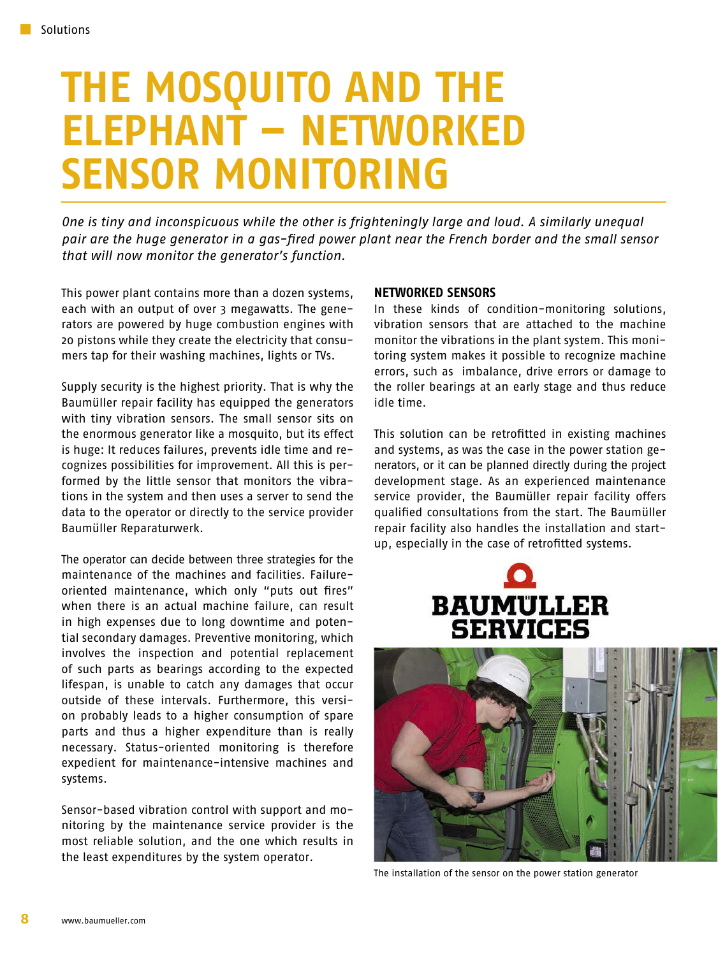## **THE MOSQUITO AND THE ELEPHANT – NETWORKED SENSOR MONITORING**

*One is tiny and inconspicuous while the other is frighteningly large and loud. A similarly unequal pair are the huge generator in a gas-fired power plant near the French border and the small sensor that will now monitor the generator's function.*

This power plant contains more than a dozen systems, each with an output of over 3 megawatts. The generators are powered by huge combustion engines with 20 pistons while they create the electricity that consumers tap for their washing machines, lights or TVs.

Supply security is the highest priority. That is why the Baumüller repair facility has equipped the generators with tiny vibration sensors. The small sensor sits on the enormous generator like a mosquito, but its effect is huge: It reduces failures, prevents idle time and recognizes possibilities for improvement. All this is performed by the little sensor that monitors the vibrations in the system and then uses a server to send the data to the operator or directly to the service provider Baumüller Reparaturwerk.

The operator can decide between three strategies for the maintenance of the machines and facilities. Failureoriented maintenance, which only "puts out fires" when there is an actual machine failure, can result in high expenses due to long downtime and potential secondary damages. Preventive monitoring, which involves the inspection and potential replacement of such parts as bearings according to the expected lifespan, is unable to catch any damages that occur outside of these intervals. Furthermore, this version probably leads to a higher consumption of spare parts and thus a higher expenditure than is really necessary. Status-oriented monitoring is therefore expedient for maintenance-intensive machines and systems.

Sensor-based vibration control with support and monitoring by the maintenance service provider is the most reliable solution, and the one which results in the least expenditures by the system operator.

## **NETWORKED SENSORS**

In these kinds of condition-monitoring solutions, vibration sensors that are attached to the machine monitor the vibrations in the plant system. This monitoring system makes it possible to recognize machine errors, such as imbalance, drive errors or damage to the roller bearings at an early stage and thus reduce idle time.

This solution can be retrofitted in existing machines and systems, as was the case in the power station generators, or it can be planned directly during the project development stage. As an experienced maintenance service provider, the Baumüller repair facility offers qualified consultations from the start. The Baumüller repair facility also handles the installation and startup, especially in the case of retrofitted systems.





The installation of the sensor on the power station generator